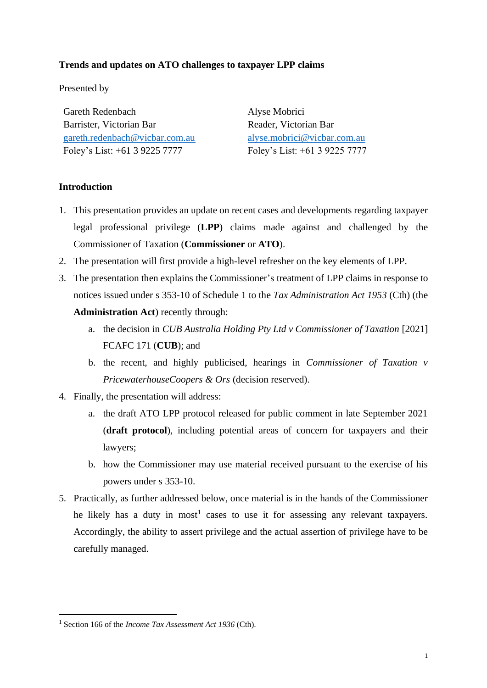## **Trends and updates on ATO challenges to taxpayer LPP claims**

Presented by

Gareth Redenbach Barrister, Victorian Bar [gareth.redenbach@vicbar.com.au](mailto:gareth.redenbach@vicbar.com.au) Foley's List: +61 3 9225 7777

Alyse Mobrici Reader, Victorian Bar [alyse.mobrici@vicbar.com.au](mailto:alyse.mobrici@vicbar.com.au) Foley's List: +61 3 9225 7777

## **Introduction**

- 1. This presentation provides an update on recent cases and developments regarding taxpayer legal professional privilege (**LPP**) claims made against and challenged by the Commissioner of Taxation (**Commissioner** or **ATO**).
- 2. The presentation will first provide a high-level refresher on the key elements of LPP.
- 3. The presentation then explains the Commissioner's treatment of LPP claims in response to notices issued under s 353-10 of Schedule 1 to the *Tax Administration Act 1953* (Cth) (the **Administration Act**) recently through:
	- a. the decision in *CUB Australia Holding Pty Ltd v Commissioner of Taxation* [2021] FCAFC 171 (**CUB**); and
	- b. the recent, and highly publicised, hearings in *Commissioner of Taxation v PricewaterhouseCoopers & Ors* (decision reserved).
- 4. Finally, the presentation will address:
	- a. the draft ATO LPP protocol released for public comment in late September 2021 (**draft protocol**), including potential areas of concern for taxpayers and their lawyers;
	- b. how the Commissioner may use material received pursuant to the exercise of his powers under s 353-10.
- 5. Practically, as further addressed below, once material is in the hands of the Commissioner he likely has a duty in most<sup>1</sup> cases to use it for assessing any relevant taxpayers. Accordingly, the ability to assert privilege and the actual assertion of privilege have to be carefully managed.

<sup>1</sup> Section 166 of the *Income Tax Assessment Act 1936* (Cth).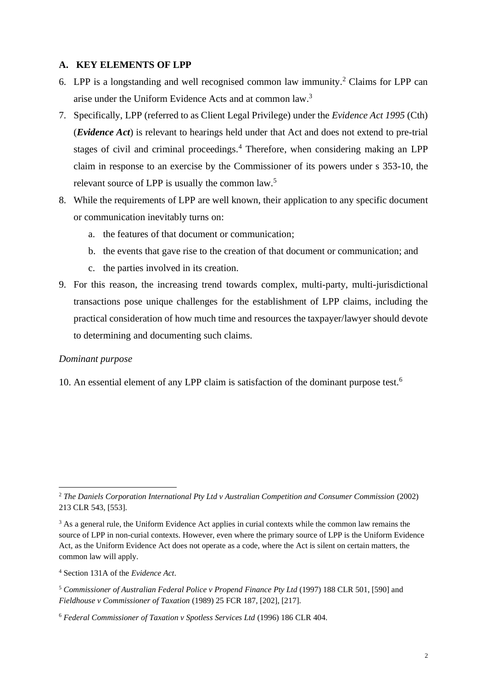### **A. KEY ELEMENTS OF LPP**

- 6. LPP is a longstanding and well recognised common law immunity. <sup>2</sup> Claims for LPP can arise under the Uniform Evidence Acts and at common law. 3
- 7. Specifically, LPP (referred to as Client Legal Privilege) under the *Evidence Act 1995* (Cth) (*Evidence Act*) is relevant to hearings held under that Act and does not extend to pre-trial stages of civil and criminal proceedings.<sup>4</sup> Therefore, when considering making an LPP claim in response to an exercise by the Commissioner of its powers under s 353-10, the relevant source of LPP is usually the common law.<sup>5</sup>
- 8. While the requirements of LPP are well known, their application to any specific document or communication inevitably turns on:
	- a. the features of that document or communication;
	- b. the events that gave rise to the creation of that document or communication; and
	- c. the parties involved in its creation.
- 9. For this reason, the increasing trend towards complex, multi-party, multi-jurisdictional transactions pose unique challenges for the establishment of LPP claims, including the practical consideration of how much time and resources the taxpayer/lawyer should devote to determining and documenting such claims.

#### *Dominant purpose*

10. An essential element of any LPP claim is satisfaction of the dominant purpose test. 6

<sup>2</sup> *The Daniels Corporation International Pty Ltd v Australian Competition and Consumer Commission* (2002) 213 CLR 543, [553].

 $3$  As a general rule, the Uniform Evidence Act applies in curial contexts while the common law remains the source of LPP in non-curial contexts. However, even where the primary source of LPP is the Uniform Evidence Act, as the Uniform Evidence Act does not operate as a code, where the Act is silent on certain matters, the common law will apply.

<sup>4</sup> Section 131A of the *Evidence Act*.

<sup>5</sup> *Commissioner of Australian Federal Police v Propend Finance Pty Ltd* (1997) 188 CLR 501, [590] and *Fieldhouse v Commissioner of Taxation* (1989) 25 FCR 187, [202], [217].

<sup>6</sup> *Federal Commissioner of Taxation v Spotless Services Ltd* (1996) 186 CLR 404.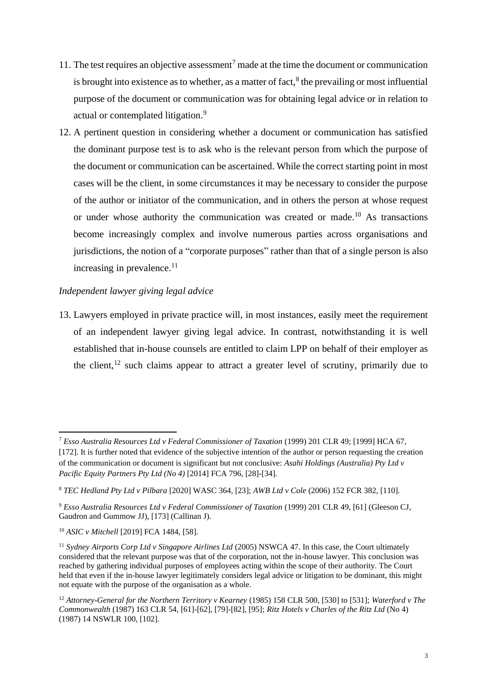- 11. The test requires an objective assessment<sup>7</sup> made at the time the document or communication is brought into existence as to whether, as a matter of fact, $<sup>8</sup>$  the prevailing or most influential</sup> purpose of the document or communication was for obtaining legal advice or in relation to actual or contemplated litigation.<sup>9</sup>
- 12. A pertinent question in considering whether a document or communication has satisfied the dominant purpose test is to ask who is the relevant person from which the purpose of the document or communication can be ascertained. While the correct starting point in most cases will be the client, in some circumstances it may be necessary to consider the purpose of the author or initiator of the communication, and in others the person at whose request or under whose authority the communication was created or made.<sup>10</sup> As transactions become increasingly complex and involve numerous parties across organisations and jurisdictions, the notion of a "corporate purposes" rather than that of a single person is also increasing in prevalence.<sup>11</sup>

## *Independent lawyer giving legal advice*

13. Lawyers employed in private practice will, in most instances, easily meet the requirement of an independent lawyer giving legal advice. In contrast, notwithstanding it is well established that in-house counsels are entitled to claim LPP on behalf of their employer as the client, $12$  such claims appear to attract a greater level of scrutiny, primarily due to

<sup>7</sup> *Esso Australia Resources Ltd v Federal Commissioner of Taxation* (1999) 201 CLR 49; [1999] HCA 67,

<sup>[172].</sup> It is further noted that evidence of the subjective intention of the author or person requesting the creation of the communication or document is significant but not conclusive: *Asahi Holdings (Australia) Pty Ltd v Pacific Equity Partners Pty Ltd (No 4)* [2014] FCA 796, [28]-[34].

<sup>8</sup> *TEC Hedland Pty Ltd v Pilbara* [2020] WASC 364, [23]; *AWB Ltd v Cole* (2006) 152 FCR 382, [110].

<sup>9</sup> *Esso Australia Resources Ltd v Federal Commissioner of Taxation* (1999) 201 CLR 49, [61] (Gleeson CJ, Gaudron and Gummow JJ), [173] (Callinan J).

<sup>10</sup> *ASIC v Mitchell* [2019] FCA 1484, [58].

<sup>11</sup> *Sydney Airports Corp Ltd v Singapore Airlines Ltd* (2005) NSWCA 47. In this case, the Court ultimately considered that the relevant purpose was that of the corporation, not the in-house lawyer. This conclusion was reached by gathering individual purposes of employees acting within the scope of their authority. The Court held that even if the in-house lawyer legitimately considers legal advice or litigation to be dominant, this might not equate with the purpose of the organisation as a whole.

<sup>12</sup> *Attorney-General for the Northern Territory v Kearney* (1985) 158 CLR 500, [530] to [531]; *Waterford v The Commonwealth* (1987) 163 CLR 54, [61]-[62], [79]-[82], [95]; *Ritz Hotels v Charles of the Ritz Ltd* (No 4) (1987) 14 NSWLR 100, [102].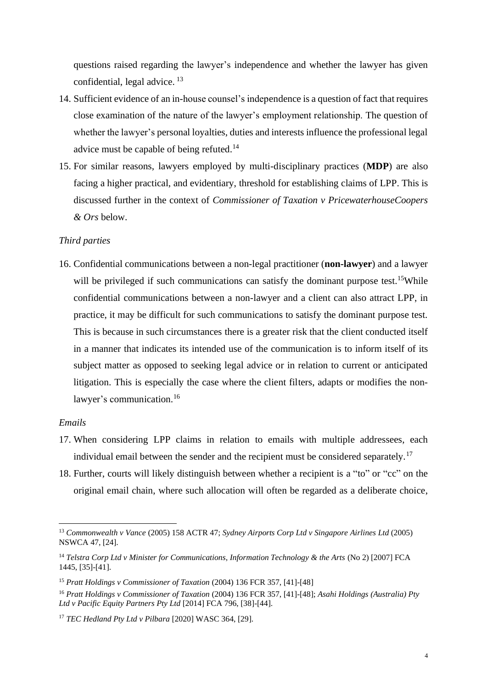questions raised regarding the lawyer's independence and whether the lawyer has given confidential, legal advice.<sup>13</sup>

- 14. Sufficient evidence of an in-house counsel's independence is a question of fact that requires close examination of the nature of the lawyer's employment relationship. The question of whether the lawyer's personal loyalties, duties and interests influence the professional legal advice must be capable of being refuted.<sup>14</sup>
- 15. For similar reasons, lawyers employed by multi-disciplinary practices (**MDP**) are also facing a higher practical, and evidentiary, threshold for establishing claims of LPP. This is discussed further in the context of *Commissioner of Taxation v PricewaterhouseCoopers & Ors* below.

## *Third parties*

16. Confidential communications between a non-legal practitioner (**non-lawyer**) and a lawyer will be privileged if such communications can satisfy the dominant purpose test.<sup>15</sup>While confidential communications between a non-lawyer and a client can also attract LPP, in practice, it may be difficult for such communications to satisfy the dominant purpose test. This is because in such circumstances there is a greater risk that the client conducted itself in a manner that indicates its intended use of the communication is to inform itself of its subject matter as opposed to seeking legal advice or in relation to current or anticipated litigation. This is especially the case where the client filters, adapts or modifies the nonlawyer's communication.<sup>16</sup>

#### *Emails*

- 17. When considering LPP claims in relation to emails with multiple addressees, each individual email between the sender and the recipient must be considered separately.<sup>17</sup>
- 18. Further, courts will likely distinguish between whether a recipient is a "to" or "cc" on the original email chain, where such allocation will often be regarded as a deliberate choice,

<sup>13</sup> *Commonwealth v Vance* (2005) 158 ACTR 47; *Sydney Airports Corp Ltd v Singapore Airlines Ltd* (2005) NSWCA 47, [24].

<sup>14</sup> *Telstra Corp Ltd v Minister for Communications, Information Technology & the Arts* (No 2) [2007] FCA 1445, [35]-[41].

<sup>15</sup> *Pratt Holdings v Commissioner of Taxation* (2004) 136 FCR 357, [41]-[48]

<sup>16</sup> *Pratt Holdings v Commissioner of Taxation* (2004) 136 FCR 357, [41]-[48]; *Asahi Holdings (Australia) Pty Ltd v Pacific Equity Partners Pty Ltd* [2014] FCA 796, [38]-[44].

<sup>17</sup> *TEC Hedland Pty Ltd v Pilbara* [2020] WASC 364, [29].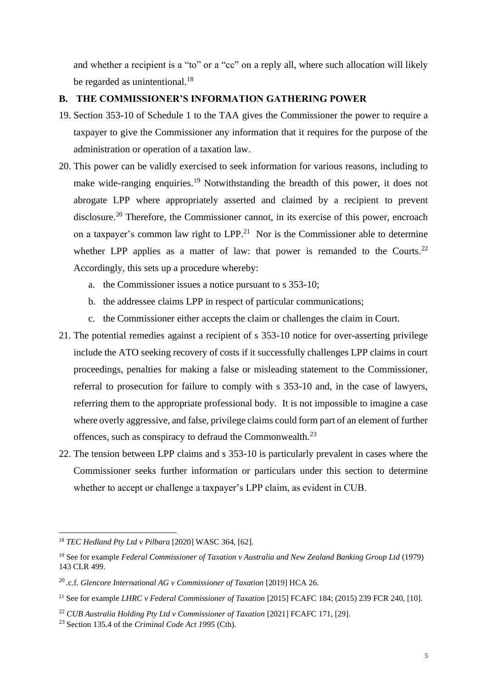and whether a recipient is a "to" or a "cc" on a reply all, where such allocation will likely be regarded as unintentional.<sup>18</sup>

# **B. THE COMMISSIONER'S INFORMATION GATHERING POWER**

- 19. Section 353-10 of Schedule 1 to the TAA gives the Commissioner the power to require a taxpayer to give the Commissioner any information that it requires for the purpose of the administration or operation of a taxation law.
- 20. This power can be validly exercised to seek information for various reasons, including to make wide-ranging enquiries.<sup>19</sup> Notwithstanding the breadth of this power, it does not abrogate LPP where appropriately asserted and claimed by a recipient to prevent disclosure.<sup>20</sup> Therefore, the Commissioner cannot, in its exercise of this power, encroach on a taxpayer's common law right to  $LPP<sup>21</sup>$  Nor is the Commissioner able to determine whether LPP applies as a matter of law: that power is remanded to the Courts.<sup>22</sup> Accordingly, this sets up a procedure whereby:
	- a. the Commissioner issues a notice pursuant to s 353-10;
	- b. the addressee claims LPP in respect of particular communications;
	- c. the Commissioner either accepts the claim or challenges the claim in Court.
- 21. The potential remedies against a recipient of s 353-10 notice for over-asserting privilege include the ATO seeking recovery of costs if it successfully challenges LPP claims in court proceedings, penalties for making a false or misleading statement to the Commissioner, referral to prosecution for failure to comply with s 353-10 and, in the case of lawyers, referring them to the appropriate professional body. It is not impossible to imagine a case where overly aggressive, and false, privilege claims could form part of an element of further offences, such as conspiracy to defraud the Commonwealth.<sup>23</sup>
- 22. The tension between LPP claims and s 353-10 is particularly prevalent in cases where the Commissioner seeks further information or particulars under this section to determine whether to accept or challenge a taxpayer's LPP claim, as evident in CUB.

<sup>18</sup> *TEC Hedland Pty Ltd v Pilbara* [2020] WASC 364, [62].

<sup>19</sup> See for example *Federal Commissioner of Taxation v Australia and New Zealand Banking Group Ltd* (1979) 143 CLR 499.

<sup>20</sup> *.*c.f. *Glencore International AG v Commissioner of Taxation* [2019] HCA 26.

<sup>21</sup> See for example *LHRC v Federal Commissioner of Taxation* [2015] FCAFC 184; (2015) 239 FCR 240, [10].

<sup>&</sup>lt;sup>22</sup> *CUB Australia Holding Pty Ltd v Commissioner of Taxation* [2021] FCAFC 171, [29].

<sup>23</sup> Section 135.4 of the *Criminal Code Act 1995* (Cth).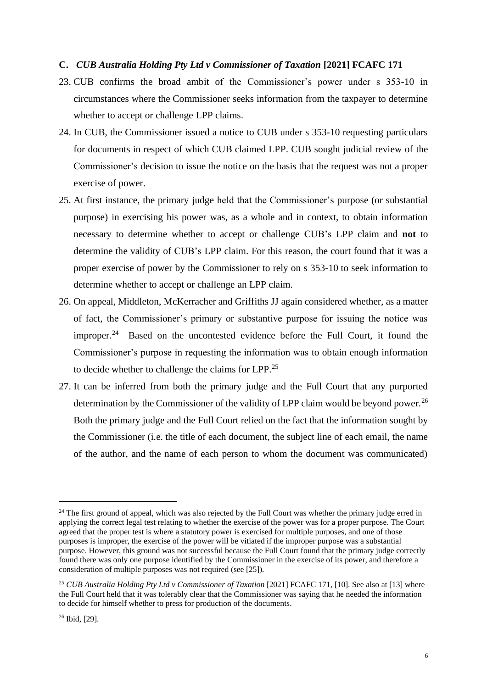#### **C.** *CUB Australia Holding Pty Ltd v Commissioner of Taxation* **[2021] FCAFC 171**

- 23. CUB confirms the broad ambit of the Commissioner's power under s 353-10 in circumstances where the Commissioner seeks information from the taxpayer to determine whether to accept or challenge LPP claims.
- 24. In CUB, the Commissioner issued a notice to CUB under s 353-10 requesting particulars for documents in respect of which CUB claimed LPP. CUB sought judicial review of the Commissioner's decision to issue the notice on the basis that the request was not a proper exercise of power.
- 25. At first instance, the primary judge held that the Commissioner's purpose (or substantial purpose) in exercising his power was, as a whole and in context, to obtain information necessary to determine whether to accept or challenge CUB's LPP claim and **not** to determine the validity of CUB's LPP claim. For this reason, the court found that it was a proper exercise of power by the Commissioner to rely on s 353-10 to seek information to determine whether to accept or challenge an LPP claim.
- 26. On appeal, Middleton, McKerracher and Griffiths JJ again considered whether, as a matter of fact, the Commissioner's primary or substantive purpose for issuing the notice was improper. $24$  Based on the uncontested evidence before the Full Court, it found the Commissioner's purpose in requesting the information was to obtain enough information to decide whether to challenge the claims for LPP.<sup>25</sup>
- 27. It can be inferred from both the primary judge and the Full Court that any purported determination by the Commissioner of the validity of LPP claim would be beyond power.<sup>26</sup> Both the primary judge and the Full Court relied on the fact that the information sought by the Commissioner (i.e. the title of each document, the subject line of each email, the name of the author, and the name of each person to whom the document was communicated)

<sup>&</sup>lt;sup>24</sup> The first ground of appeal, which was also rejected by the Full Court was whether the primary judge erred in applying the correct legal test relating to whether the exercise of the power was for a proper purpose. The Court agreed that the proper test is where a statutory power is exercised for multiple purposes, and one of those purposes is improper, the exercise of the power will be vitiated if the improper purpose was a substantial purpose. However, this ground was not successful because the Full Court found that the primary judge correctly found there was only one purpose identified by the Commissioner in the exercise of its power, and therefore a consideration of multiple purposes was not required (see [25]).

<sup>&</sup>lt;sup>25</sup> *CUB Australia Holding Pty Ltd v Commissioner of Taxation* [2021] FCAFC 171, [10]. See also at [13] where the Full Court held that it was tolerably clear that the Commissioner was saying that he needed the information to decide for himself whether to press for production of the documents.

<sup>26</sup> Ibid, [29].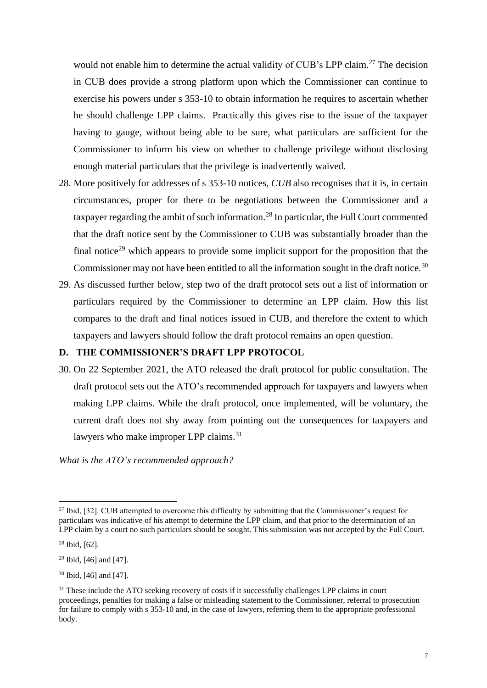would not enable him to determine the actual validity of CUB's LPP claim.<sup>27</sup> The decision in CUB does provide a strong platform upon which the Commissioner can continue to exercise his powers under s 353-10 to obtain information he requires to ascertain whether he should challenge LPP claims. Practically this gives rise to the issue of the taxpayer having to gauge, without being able to be sure, what particulars are sufficient for the Commissioner to inform his view on whether to challenge privilege without disclosing enough material particulars that the privilege is inadvertently waived.

- 28. More positively for addresses of s 353-10 notices, *CUB* also recognises that it is, in certain circumstances, proper for there to be negotiations between the Commissioner and a taxpayer regarding the ambit of such information.<sup>28</sup> In particular, the Full Court commented that the draft notice sent by the Commissioner to CUB was substantially broader than the final notice<sup>29</sup> which appears to provide some implicit support for the proposition that the Commissioner may not have been entitled to all the information sought in the draft notice.<sup>30</sup>
- 29. As discussed further below, step two of the draft protocol sets out a list of information or particulars required by the Commissioner to determine an LPP claim. How this list compares to the draft and final notices issued in CUB, and therefore the extent to which taxpayers and lawyers should follow the draft protocol remains an open question.

### **D. THE COMMISSIONER'S DRAFT LPP PROTOCOL**

30. On 22 September 2021, the ATO released the draft protocol for public consultation. The draft protocol sets out the ATO's recommended approach for taxpayers and lawyers when making LPP claims. While the draft protocol, once implemented, will be voluntary, the current draft does not shy away from pointing out the consequences for taxpayers and lawyers who make improper LPP claims.<sup>31</sup>

*What is the ATO's recommended approach?*

<sup>&</sup>lt;sup>27</sup> Ibid, [32]. CUB attempted to overcome this difficulty by submitting that the Commissioner's request for particulars was indicative of his attempt to determine the LPP claim, and that prior to the determination of an LPP claim by a court no such particulars should be sought. This submission was not accepted by the Full Court.

<sup>28</sup> Ibid, [62].

<sup>29</sup> Ibid, [46] and [47].

<sup>30</sup> Ibid, [46] and [47].

<sup>&</sup>lt;sup>31</sup> These include the ATO seeking recovery of costs if it successfully challenges LPP claims in court proceedings, penalties for making a false or misleading statement to the Commissioner, referral to prosecution for failure to comply with s 353-10 and, in the case of lawyers, referring them to the appropriate professional body.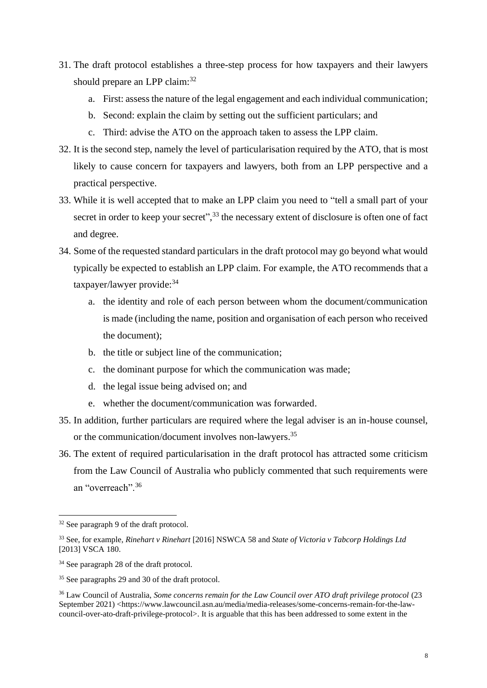- 31. The draft protocol establishes a three-step process for how taxpayers and their lawyers should prepare an LPP claim:<sup>32</sup>
	- a. First: assess the nature of the legal engagement and each individual communication;
	- b. Second: explain the claim by setting out the sufficient particulars; and
	- c. Third: advise the ATO on the approach taken to assess the LPP claim.
- 32. It is the second step, namely the level of particularisation required by the ATO, that is most likely to cause concern for taxpayers and lawyers, both from an LPP perspective and a practical perspective.
- 33. While it is well accepted that to make an LPP claim you need to "tell a small part of your secret in order to keep your secret",<sup>33</sup> the necessary extent of disclosure is often one of fact and degree.
- 34. Some of the requested standard particulars in the draft protocol may go beyond what would typically be expected to establish an LPP claim. For example, the ATO recommends that a taxpayer/lawyer provide: 34
	- a. the identity and role of each person between whom the document/communication is made (including the name, position and organisation of each person who received the document);
	- b. the title or subject line of the communication;
	- c. the dominant purpose for which the communication was made;
	- d. the legal issue being advised on; and
	- e. whether the document/communication was forwarded.
- 35. In addition, further particulars are required where the legal adviser is an in-house counsel, or the communication/document involves non-lawyers.<sup>35</sup>
- 36. The extent of required particularisation in the draft protocol has attracted some criticism from the Law Council of Australia who publicly commented that such requirements were an "overreach".<sup>36</sup>

<sup>32</sup> See paragraph 9 of the draft protocol.

<sup>33</sup> See, for example, *Rinehart v Rinehart* [2016] NSWCA 58 and *State of Victoria v Tabcorp Holdings Ltd* [2013] VSCA 180.

<sup>&</sup>lt;sup>34</sup> See paragraph 28 of the draft protocol.

<sup>35</sup> See paragraphs 29 and 30 of the draft protocol.

<sup>&</sup>lt;sup>36</sup> Law Council of Australia, *Some concerns remain for the Law Council over ATO draft privilege protocol* (23 September 2021) <https://www.lawcouncil.asn.au/media/media-releases/some-concerns-remain-for-the-lawcouncil-over-ato-draft-privilege-protocol>. It is arguable that this has been addressed to some extent in the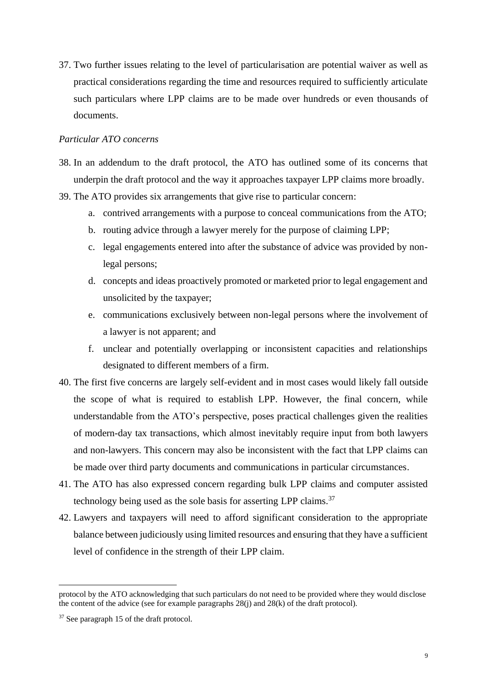37. Two further issues relating to the level of particularisation are potential waiver as well as practical considerations regarding the time and resources required to sufficiently articulate such particulars where LPP claims are to be made over hundreds or even thousands of documents.

## *Particular ATO concerns*

- 38. In an addendum to the draft protocol, the ATO has outlined some of its concerns that underpin the draft protocol and the way it approaches taxpayer LPP claims more broadly.
- 39. The ATO provides six arrangements that give rise to particular concern:
	- a. contrived arrangements with a purpose to conceal communications from the ATO;
	- b. routing advice through a lawyer merely for the purpose of claiming LPP;
	- c. legal engagements entered into after the substance of advice was provided by nonlegal persons;
	- d. concepts and ideas proactively promoted or marketed prior to legal engagement and unsolicited by the taxpayer;
	- e. communications exclusively between non-legal persons where the involvement of a lawyer is not apparent; and
	- f. unclear and potentially overlapping or inconsistent capacities and relationships designated to different members of a firm.
- 40. The first five concerns are largely self-evident and in most cases would likely fall outside the scope of what is required to establish LPP. However, the final concern, while understandable from the ATO's perspective, poses practical challenges given the realities of modern-day tax transactions, which almost inevitably require input from both lawyers and non-lawyers. This concern may also be inconsistent with the fact that LPP claims can be made over third party documents and communications in particular circumstances.
- 41. The ATO has also expressed concern regarding bulk LPP claims and computer assisted technology being used as the sole basis for asserting LPP claims.<sup>37</sup>
- 42. Lawyers and taxpayers will need to afford significant consideration to the appropriate balance between judiciously using limited resources and ensuring that they have a sufficient level of confidence in the strength of their LPP claim.

protocol by the ATO acknowledging that such particulars do not need to be provided where they would disclose the content of the advice (see for example paragraphs 28(j) and 28(k) of the draft protocol).

<sup>37</sup> See paragraph 15 of the draft protocol.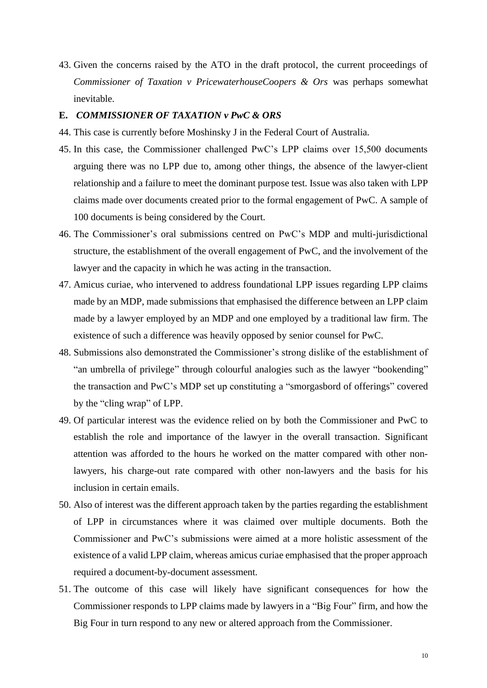43. Given the concerns raised by the ATO in the draft protocol, the current proceedings of *Commissioner of Taxation v PricewaterhouseCoopers & Ors* was perhaps somewhat inevitable.

## **E.** *COMMISSIONER OF TAXATION v PwC & ORS*

- 44. This case is currently before Moshinsky J in the Federal Court of Australia.
- 45. In this case, the Commissioner challenged PwC's LPP claims over 15,500 documents arguing there was no LPP due to, among other things, the absence of the lawyer-client relationship and a failure to meet the dominant purpose test. Issue was also taken with LPP claims made over documents created prior to the formal engagement of PwC. A sample of 100 documents is being considered by the Court.
- 46. The Commissioner's oral submissions centred on PwC's MDP and multi-jurisdictional structure, the establishment of the overall engagement of PwC, and the involvement of the lawyer and the capacity in which he was acting in the transaction.
- 47. Amicus curiae, who intervened to address foundational LPP issues regarding LPP claims made by an MDP, made submissions that emphasised the difference between an LPP claim made by a lawyer employed by an MDP and one employed by a traditional law firm. The existence of such a difference was heavily opposed by senior counsel for PwC.
- 48. Submissions also demonstrated the Commissioner's strong dislike of the establishment of "an umbrella of privilege" through colourful analogies such as the lawyer "bookending" the transaction and PwC's MDP set up constituting a "smorgasbord of offerings" covered by the "cling wrap" of LPP.
- 49. Of particular interest was the evidence relied on by both the Commissioner and PwC to establish the role and importance of the lawyer in the overall transaction. Significant attention was afforded to the hours he worked on the matter compared with other nonlawyers, his charge-out rate compared with other non-lawyers and the basis for his inclusion in certain emails.
- 50. Also of interest was the different approach taken by the parties regarding the establishment of LPP in circumstances where it was claimed over multiple documents. Both the Commissioner and PwC's submissions were aimed at a more holistic assessment of the existence of a valid LPP claim, whereas amicus curiae emphasised that the proper approach required a document-by-document assessment.
- 51. The outcome of this case will likely have significant consequences for how the Commissioner responds to LPP claims made by lawyers in a "Big Four" firm, and how the Big Four in turn respond to any new or altered approach from the Commissioner.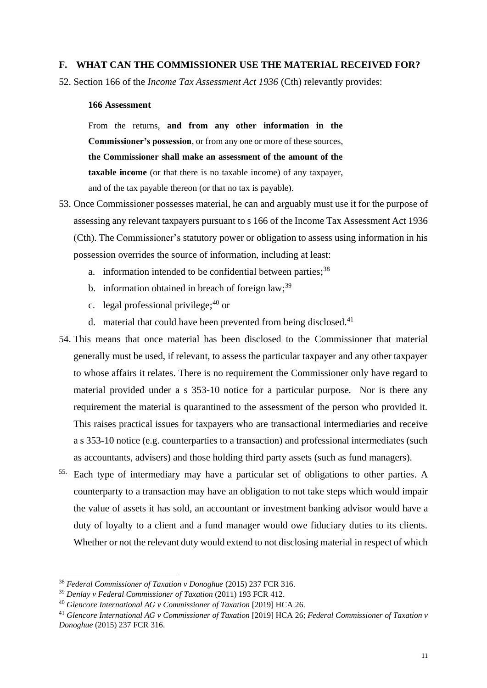#### **F. WHAT CAN THE COMMISSIONER USE THE MATERIAL RECEIVED FOR?**

52. Section 166 of the *Income Tax Assessment Act 1936* (Cth) relevantly provides:

## **166 Assessment**

From the returns, **and from any other information in the Commissioner's possession**, or from any one or more of these sources, **the Commissioner shall make an assessment of the amount of the taxable income** (or that there is no taxable income) of any taxpayer, and of the tax payable thereon (or that no tax is payable).

- 53. Once Commissioner possesses material, he can and arguably must use it for the purpose of assessing any relevant taxpayers pursuant to s 166 of the Income Tax Assessment Act 1936 (Cth). The Commissioner's statutory power or obligation to assess using information in his possession overrides the source of information, including at least:
	- a. information intended to be confidential between parties;<sup>38</sup>
	- b. information obtained in breach of foreign law;<sup>39</sup>
	- c. legal professional privilege;  $40$  or
	- d. material that could have been prevented from being disclosed.<sup>41</sup>
- 54. This means that once material has been disclosed to the Commissioner that material generally must be used, if relevant, to assess the particular taxpayer and any other taxpayer to whose affairs it relates. There is no requirement the Commissioner only have regard to material provided under a s 353-10 notice for a particular purpose. Nor is there any requirement the material is quarantined to the assessment of the person who provided it. This raises practical issues for taxpayers who are transactional intermediaries and receive a s 353-10 notice (e.g. counterparties to a transaction) and professional intermediates (such as accountants, advisers) and those holding third party assets (such as fund managers).
- 55. Each type of intermediary may have a particular set of obligations to other parties. A counterparty to a transaction may have an obligation to not take steps which would impair the value of assets it has sold, an accountant or investment banking advisor would have a duty of loyalty to a client and a fund manager would owe fiduciary duties to its clients. Whether or not the relevant duty would extend to not disclosing material in respect of which

<sup>38</sup> *Federal Commissioner of Taxation v Donoghue* (2015) 237 FCR 316.

<sup>39</sup> *Denlay v Federal Commissioner of Taxation* (2011) 193 FCR 412.

<sup>40</sup> *Glencore International AG v Commissioner of Taxation* [2019] HCA 26.

<sup>41</sup> *Glencore International AG v Commissioner of Taxation* [2019] HCA 26; *Federal Commissioner of Taxation v Donoghue* (2015) 237 FCR 316.